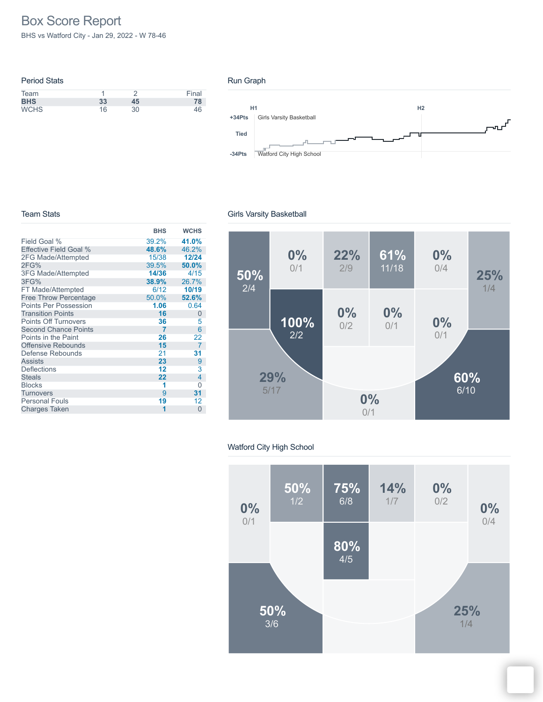# Box Score Report

BHS vs Watford City - Jan 29, 2022 - W 78-46

| <b>Period Stats</b> |    |    |       |
|---------------------|----|----|-------|
| Team                |    |    | Final |
| <b>BHS</b>          | 33 | 45 | 78    |
| <b>WCHS</b>         | 16 | 30 | 46    |

#### Run Graph



#### Team Stats

|                              | <b>BHS</b> | <b>WCHS</b>    |
|------------------------------|------------|----------------|
| Field Goal %                 | 39.2%      | 41.0%          |
| Effective Field Goal %       | 48.6%      | 46.2%          |
| 2FG Made/Attempted           | 15/38      | 12/24          |
| 2FG%                         | 39.5%      | 50.0%          |
| <b>3FG Made/Attempted</b>    | 14/36      | 4/15           |
| 3FG%                         | 38.9%      | 26.7%          |
| FT Made/Attempted            | 6/12       | 10/19          |
| <b>Free Throw Percentage</b> | 50.0%      | 52.6%          |
| <b>Points Per Possession</b> | 1.06       | 0.64           |
| <b>Transition Points</b>     | 16         | 0              |
| <b>Points Off Turnovers</b>  | 36         | 5              |
| <b>Second Chance Points</b>  | 7          | 6              |
| Points in the Paint          | 26         | 22             |
| <b>Offensive Rebounds</b>    | 15         | $\overline{7}$ |
| Defense Rebounds             | 21         | 31             |
| <b>Assists</b>               | 23         | 9              |
| Deflections                  | 12         | 3              |
| <b>Steals</b>                | 22         | 4              |
| <b>Blocks</b>                | 1          | 0              |
| Turnovers                    | 9          | 31             |
| <b>Personal Fouls</b>        | 19         | 12             |
| <b>Charges Taken</b>         | 1          | $\Omega$       |

### Girls Varsity Basketball



### Watford City High School